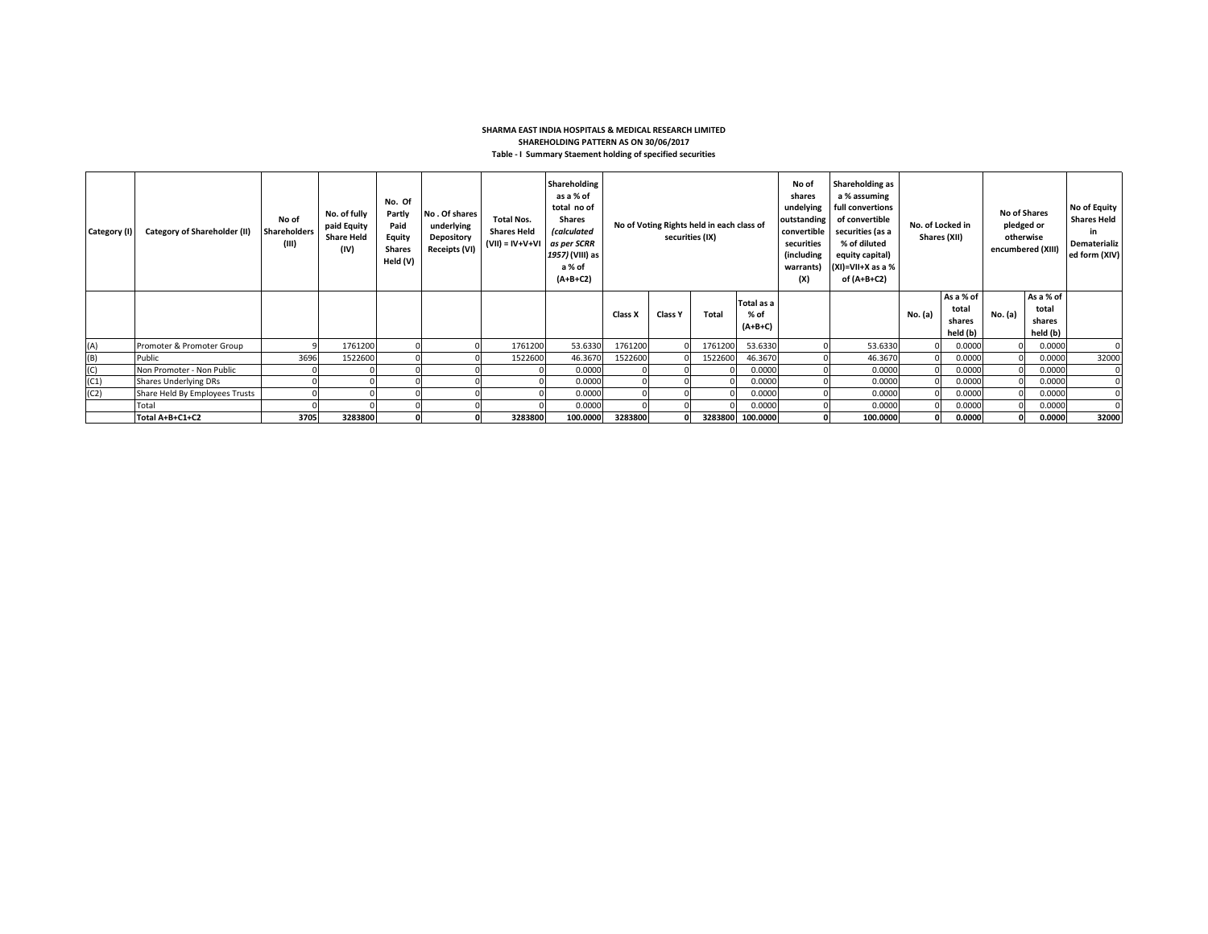## **SHARMA EAST INDIA HOSPITALS & MEDICAL RESEARCH LIMITED SHAREHOLDING PATTERN AS ON 30/06/2017 Table - I Summary Staement holding of specified securities**

| Category (I) | <b>Category of Shareholder (II)</b> | No of<br><b>Shareholders</b><br>(III) | No. of fully<br>paid Equity<br><b>Share Held</b><br>(IV) | No. Of<br>Partly<br>Paid<br>Equity<br><b>Shares</b><br>Held (V) | No. Of shares<br>underlying<br>Depository<br>Receipts (VI) | <b>Total Nos.</b><br><b>Shares Held</b><br>$(VII) = IV + V + VI$ | Shareholding<br>as a % of<br>total no of<br><b>Shares</b><br><i>(calculated</i><br>as per SCRR<br>1957) (VIII) as<br>a % of<br>$(A+B+C2)$ | No of Voting Rights held in each class of<br>securities (IX) |         |              | No of<br>shares<br>undelying<br>outstanding<br>convertible<br>securities<br>(including<br>warrants)<br>(X) | Shareholding as<br>a % assuming<br>full convertions<br>of convertible<br>securities (as a<br>% of diluted<br>equity capital)<br>$(XI)=VII+X$ as a %<br>of (A+B+C2) | No. of Locked in<br>Shares (XII) |         | <b>No of Shares</b><br>pledged or<br>otherwise<br>encumbered (XIII) |         | No of Equity<br><b>Shares Held</b><br>in.<br>Dematerializ<br>ed form (XIV) |          |
|--------------|-------------------------------------|---------------------------------------|----------------------------------------------------------|-----------------------------------------------------------------|------------------------------------------------------------|------------------------------------------------------------------|-------------------------------------------------------------------------------------------------------------------------------------------|--------------------------------------------------------------|---------|--------------|------------------------------------------------------------------------------------------------------------|--------------------------------------------------------------------------------------------------------------------------------------------------------------------|----------------------------------|---------|---------------------------------------------------------------------|---------|----------------------------------------------------------------------------|----------|
|              |                                     |                                       |                                                          |                                                                 |                                                            |                                                                  |                                                                                                                                           | Class X                                                      | Class Y | <b>Total</b> | Total as a<br>% of<br>$(A+B+C)$                                                                            |                                                                                                                                                                    |                                  | No. (a) | As a % of<br>total<br>shares<br>held (b)                            | No. (a) | As a % of<br>total<br>shares<br>held (b)                                   |          |
| (A)          | Promoter & Promoter Group           |                                       | 1761200                                                  |                                                                 |                                                            | 1761200                                                          | 53.6330                                                                                                                                   | 1761200                                                      |         | 1761200      | 53.6330                                                                                                    |                                                                                                                                                                    | 53.6330                          |         | 0.0000                                                              |         | 0.0000                                                                     |          |
| (B)          | Public                              | 3696                                  | 1522600                                                  |                                                                 |                                                            | 1522600                                                          | 46.3670                                                                                                                                   | 1522600                                                      |         | 1522600      | 46.3670                                                                                                    |                                                                                                                                                                    | 46.3670                          |         | 0.0000                                                              |         | 0.0000                                                                     | 32000    |
| (C)          | Non Promoter - Non Public           |                                       |                                                          |                                                                 |                                                            |                                                                  | 0.0000                                                                                                                                    |                                                              |         |              | 0.0000                                                                                                     |                                                                                                                                                                    | 0.0000                           |         | 0.0000                                                              |         | 0.0000                                                                     | $\Omega$ |
| (C1)         | <b>Shares Underlying DRs</b>        |                                       |                                                          |                                                                 |                                                            |                                                                  | 0.0000                                                                                                                                    |                                                              |         |              | 0.0000                                                                                                     |                                                                                                                                                                    | 0.0000                           |         | 0.0000                                                              |         | 0.0000                                                                     |          |
| (C2)         | Share Held By Employees Trusts      |                                       |                                                          |                                                                 |                                                            |                                                                  | 0.0000                                                                                                                                    |                                                              |         |              | 0.0000                                                                                                     |                                                                                                                                                                    | 0.0000                           |         | 0.0000                                                              |         | 0.0000                                                                     |          |
|              | Total                               |                                       |                                                          |                                                                 |                                                            |                                                                  | 0.0000                                                                                                                                    |                                                              |         |              | 0.0000                                                                                                     |                                                                                                                                                                    | 0.0000                           |         | 0.0000                                                              |         | 0.0000                                                                     |          |
|              | Total A+B+C1+C2                     | 3705                                  | 3283800                                                  |                                                                 |                                                            | 3283800                                                          | 100.0000                                                                                                                                  | 3283800                                                      |         |              | 3283800 100.0000                                                                                           |                                                                                                                                                                    | 100.0000                         |         | 0.0000                                                              |         | 0.0000                                                                     | 32000    |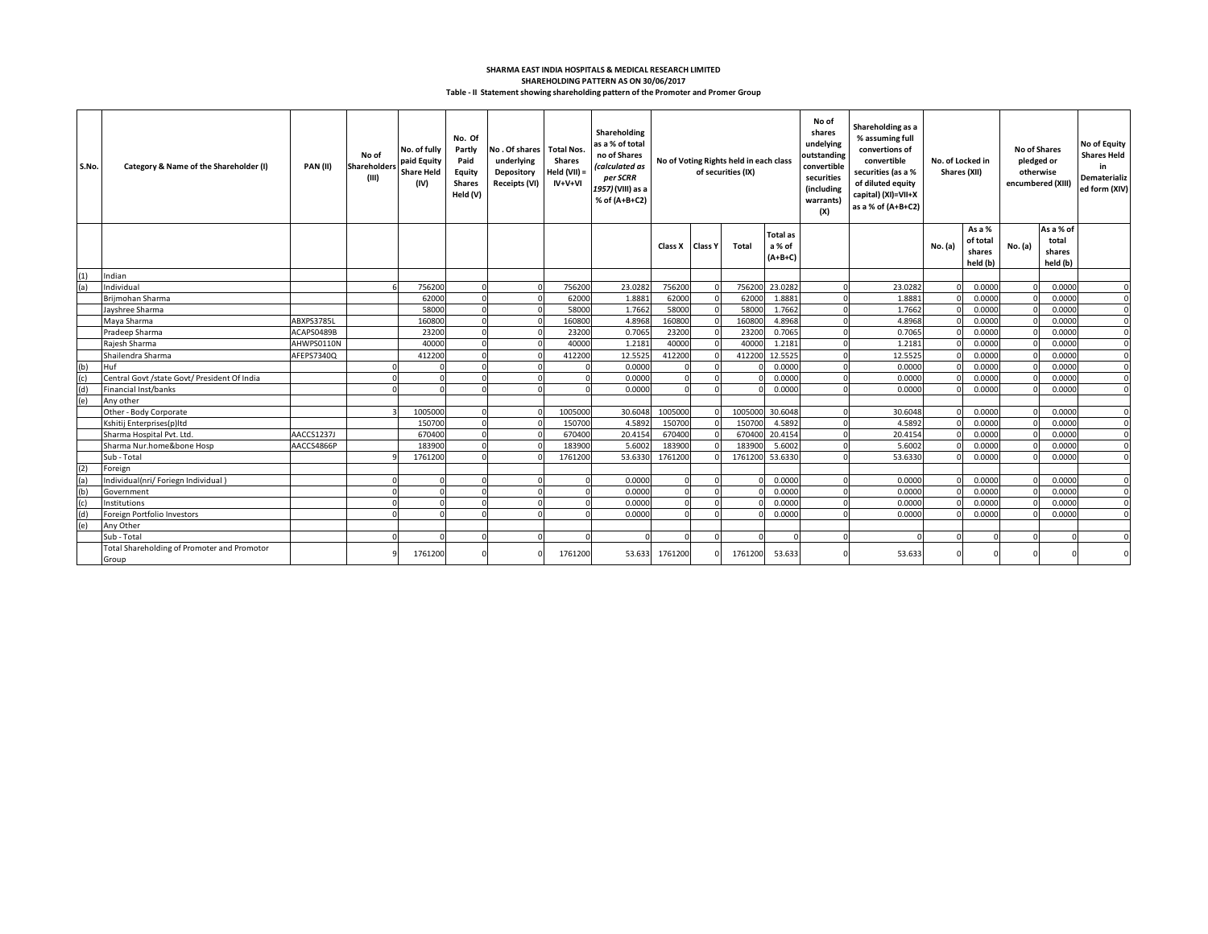## **Table - II Statement showing shareholding pattern of the Promoter and Promer Group SHAREHOLDING PATTERN AS ON 30/06/2017 SHARMA EAST INDIA HOSPITALS & MEDICAL RESEARCH LIMITED**

| S.No. | Category & Name of the Shareholder (I)               | PAN(II)    | No of<br>Shareholder:<br>(III) | No. of fully<br>paid Equity<br><b>Share Held</b><br>(IV) | No. Of<br>Partly<br>Paid<br>Equity<br><b>Shares</b><br>Held (V) | No. Of shares Total Nos.<br>underlying<br>Depository<br><b>Receipts (VI)</b> | Shares<br>Held (VII) =<br>$IV+V+VI$ | Shareholding<br>as a % of total<br>no of Shares<br>(calculated as<br>per SCRR<br>1957) (VIII) as a<br>% of (A+B+C2) | No of Voting Rights held in each class<br>of securities (IX) |                | No of<br>shares<br>undelying<br>outstanding<br>convertible<br>securities<br>(including<br>warrants)<br>(X) |                                        | Shareholding as a<br>% assuming full<br>convertions of<br>convertible<br>securities (as a %<br>of diluted equity<br>capital) (XI)=VII+X<br>as a % of (A+B+C2) | No. of Locked in<br>Shares (XII) |          | <b>No of Shares</b>                      | pledged or<br>otherwise<br>encumbered (XIII) | No of Equity<br><b>Shares Held</b><br>in<br>Dematerializ<br>ed form (XIV) |          |
|-------|------------------------------------------------------|------------|--------------------------------|----------------------------------------------------------|-----------------------------------------------------------------|------------------------------------------------------------------------------|-------------------------------------|---------------------------------------------------------------------------------------------------------------------|--------------------------------------------------------------|----------------|------------------------------------------------------------------------------------------------------------|----------------------------------------|---------------------------------------------------------------------------------------------------------------------------------------------------------------|----------------------------------|----------|------------------------------------------|----------------------------------------------|---------------------------------------------------------------------------|----------|
|       |                                                      |            |                                |                                                          |                                                                 |                                                                              |                                     |                                                                                                                     | Class X                                                      | <b>Class Y</b> | Total                                                                                                      | <b>Total as</b><br>a % of<br>$(A+B+C)$ |                                                                                                                                                               |                                  | No. (a)  | As a %<br>of total<br>shares<br>held (b) | No. (a)                                      | As a % of<br>total<br>shares<br>held (b)                                  |          |
| (1)   | Indian                                               |            |                                |                                                          |                                                                 |                                                                              |                                     |                                                                                                                     |                                                              |                |                                                                                                            |                                        |                                                                                                                                                               |                                  |          |                                          |                                              |                                                                           |          |
| (a)   | Individual                                           |            |                                | 756200                                                   |                                                                 |                                                                              | 756200                              | 23.0282                                                                                                             | 756200                                                       |                | 756200                                                                                                     | 23.0282                                |                                                                                                                                                               | 23.0282                          |          | 0.0000                                   |                                              | 0.0000                                                                    | $\Omega$ |
|       | Briimohan Sharma                                     |            |                                | 62000                                                    |                                                                 |                                                                              | 62000                               | 1.8881                                                                                                              | 62000                                                        |                | 62000                                                                                                      | 1.8881                                 |                                                                                                                                                               | 1.8881                           |          | 0.0000                                   |                                              | 0.0000                                                                    | $\Omega$ |
|       | Jayshree Sharma                                      |            |                                | 58000                                                    |                                                                 |                                                                              | 58000                               | 1.7662                                                                                                              | 58000                                                        |                | 58000                                                                                                      | 1.7662                                 |                                                                                                                                                               | 1.7662                           |          | 0.0000                                   |                                              | 0.0000                                                                    | $\Omega$ |
|       | Maya Sharma                                          | ABXPS3785L |                                | 160800                                                   |                                                                 |                                                                              | 160800                              | 4.8968                                                                                                              | 160800                                                       |                | 16080                                                                                                      | 4.8968                                 |                                                                                                                                                               | 4.8968                           |          | 0.0000                                   |                                              | 0.0000                                                                    | $\Omega$ |
|       | Pradeep Sharma                                       | ACAPS0489B |                                | 23200                                                    |                                                                 |                                                                              | 23200                               | 0.7065                                                                                                              | 23200                                                        |                | 2320                                                                                                       | 0.7065                                 |                                                                                                                                                               | 0.7065                           |          | 0.0000                                   |                                              | 0.0000                                                                    | $\Omega$ |
|       | Raiesh Sharma                                        | AHWPS0110N |                                | 40000                                                    |                                                                 |                                                                              | 40000                               | 1.2181                                                                                                              | 40000                                                        |                | 4000                                                                                                       | 1.2181                                 |                                                                                                                                                               | 1.2181                           |          | 0.0000                                   |                                              | 0.0000                                                                    | $\Omega$ |
|       | Shailendra Sharma                                    | AFEPS7340Q |                                | 412200                                                   |                                                                 |                                                                              | 412200                              | 12.5525                                                                                                             | 412200                                                       |                | 412200                                                                                                     | 12.5525                                |                                                                                                                                                               | 12.5525                          |          | 0.0000                                   |                                              | 0.0000                                                                    | $\Omega$ |
| (b)   | Huf                                                  |            |                                |                                                          |                                                                 |                                                                              |                                     | 0.0000                                                                                                              |                                                              |                |                                                                                                            | 0.0000                                 |                                                                                                                                                               | 0.0000                           |          | 0.0000                                   |                                              | 0.0000                                                                    | $\Omega$ |
| (c)   | Central Govt /state Govt/ President Of India         |            |                                |                                                          |                                                                 |                                                                              |                                     | 0.0000                                                                                                              |                                                              |                |                                                                                                            | 0.0000                                 |                                                                                                                                                               | 0.0000                           |          | 0.0000                                   |                                              | 0.0000                                                                    |          |
| (d)   | Financial Inst/banks                                 |            |                                |                                                          |                                                                 |                                                                              |                                     | 0.0000                                                                                                              |                                                              |                |                                                                                                            | 0.0000                                 |                                                                                                                                                               | 0.0000                           |          | 0.0000                                   |                                              | 0.0000                                                                    |          |
| (e)   | Any other                                            |            |                                |                                                          |                                                                 |                                                                              |                                     |                                                                                                                     |                                                              |                |                                                                                                            |                                        |                                                                                                                                                               |                                  |          |                                          |                                              |                                                                           |          |
|       | Other - Body Corporate                               |            |                                | 1005000                                                  |                                                                 |                                                                              | 1005000                             | 30.6048                                                                                                             | 1005000                                                      |                | 100500                                                                                                     | 30.6048                                |                                                                                                                                                               | 30.6048                          |          | 0.0000                                   |                                              | 0.0000                                                                    |          |
|       | Kshitij Enterprises(p)Itd                            |            |                                | 150700                                                   |                                                                 |                                                                              | 150700                              | 4.5892                                                                                                              | 150700                                                       |                | 15070                                                                                                      | 4.5892                                 |                                                                                                                                                               | 4.5892                           |          | 0.0000                                   |                                              | 0.0000                                                                    |          |
|       | Sharma Hospital Pvt. Ltd.                            | AACCS1237J |                                | 670400                                                   |                                                                 |                                                                              | 670400                              | 20.4154                                                                                                             | 670400                                                       |                | 67040                                                                                                      | 20.4154                                |                                                                                                                                                               | 20.4154                          |          | 0.0000                                   |                                              | 0.0000                                                                    | $\Omega$ |
|       | Sharma Nur.home&bone Hosp                            | AACCS4866P |                                | 183900                                                   |                                                                 |                                                                              | 183900                              | 5.6002                                                                                                              | 183900                                                       |                | 18390                                                                                                      | 5.6002                                 |                                                                                                                                                               | 5.6002                           |          | 0.0000                                   |                                              | 0.0000                                                                    | $\Omega$ |
|       | Sub - Total                                          |            |                                | 1761200                                                  |                                                                 |                                                                              | 1761200                             | 53.6330                                                                                                             | 1761200                                                      |                | 1761200                                                                                                    | 53.6330                                |                                                                                                                                                               | 53.6330                          |          | 0.0000                                   |                                              | 0.0000                                                                    |          |
| (2)   | Foreign                                              |            |                                |                                                          |                                                                 |                                                                              |                                     |                                                                                                                     |                                                              |                |                                                                                                            |                                        |                                                                                                                                                               |                                  |          |                                          |                                              |                                                                           |          |
|       | Individual(nri/ Foriegn Individual)                  |            |                                |                                                          |                                                                 |                                                                              |                                     | 0.0000                                                                                                              |                                                              |                |                                                                                                            | 0.0000                                 |                                                                                                                                                               | 0.0000                           |          | 0.0000                                   |                                              | 0.0000                                                                    | $\Omega$ |
| (b)   | Government                                           |            |                                |                                                          |                                                                 |                                                                              |                                     | 0.0000                                                                                                              |                                                              |                |                                                                                                            | 0.0000                                 |                                                                                                                                                               | 0.0000                           |          | 0.0000                                   |                                              | 0.0000                                                                    |          |
| (c)   | Institutions                                         |            |                                |                                                          |                                                                 |                                                                              |                                     | 0.0000                                                                                                              |                                                              |                |                                                                                                            | 0.0000                                 |                                                                                                                                                               | 0.0000                           |          | 0.0000                                   |                                              | 0.0000                                                                    |          |
|       | Foreign Portfolio Investors                          |            |                                |                                                          |                                                                 |                                                                              |                                     | 0.0000                                                                                                              |                                                              |                |                                                                                                            | 0.0000                                 |                                                                                                                                                               | 0.0000                           |          | 0.0000                                   |                                              | 0.0000                                                                    |          |
| (e)   | Any Other                                            |            |                                |                                                          |                                                                 |                                                                              |                                     |                                                                                                                     |                                                              |                |                                                                                                            |                                        |                                                                                                                                                               |                                  |          |                                          |                                              |                                                                           |          |
|       | Sub - Total                                          |            |                                |                                                          |                                                                 |                                                                              |                                     |                                                                                                                     |                                                              |                |                                                                                                            |                                        |                                                                                                                                                               |                                  |          |                                          |                                              |                                                                           |          |
|       | Total Shareholding of Promoter and Promotor<br>Group |            |                                | 1761200                                                  |                                                                 |                                                                              | 1761200                             | 53.633                                                                                                              | 1761200                                                      |                | 1761200                                                                                                    | 53.633                                 |                                                                                                                                                               | 53.633                           | $\Omega$ |                                          |                                              |                                                                           |          |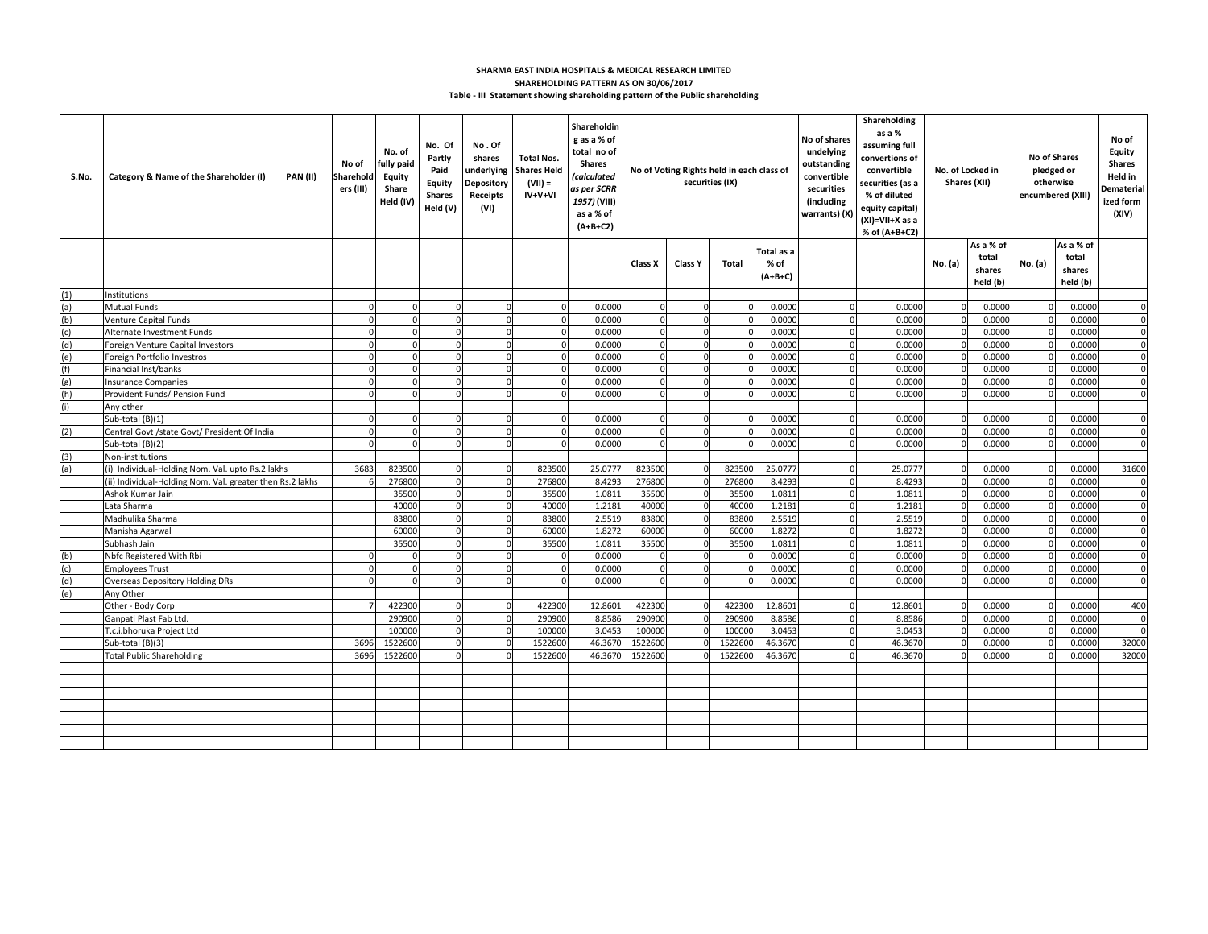## **Table - III Statement showing shareholding pattern of the Public shareholding SHARMA EAST INDIA HOSPITALS & MEDICAL RESEARCH LIMITED SHAREHOLDING PATTERN AS ON 30/06/2017**

| S.No. | Category & Name of the Shareholder (I)                           | <b>PAN (II)</b> | No of<br>Sharehold<br>ers (III) | No. of<br>fully paid<br>Equity<br>Share<br>Held (IV) | No. Of<br>Partly<br>Paid<br>Equity<br><b>Shares</b><br>Held (V) | No.Of<br>shares<br>underlying<br><b>Depository</b><br>Receipts<br>(VI) | <b>Total Nos.</b><br><b>Shares Helc</b><br>$(VII) =$<br>$IV+V+VI$ | Shareholdin<br>g as a % of<br>total no of<br><b>Shares</b><br><i>(calculated</i><br>as per SCRR<br>1957) (VIII)<br>as a % of<br>$(A+B+C2)$ | No of Voting Rights held in each class of<br>securities (IX) |                      |              | No of shares<br>undelying<br>outstanding<br>convertible<br>securities<br>(including<br>warrants) (X) | Shareholding<br>as a %<br>assuming full<br>convertions of<br>convertible<br>No. of Locked in<br>securities (as a<br>Shares (XII)<br>% of diluted<br>equity capital)<br>(XI)=VII+X as a<br>% of (A+B+C2) |                  |             | <b>No of Shares</b><br>pledged or<br>otherwise<br>encumbered (XIII) | No of<br>Equity<br><b>Shares</b><br>Held in<br>Dematerial<br>ized form<br>(XIV) |                    |                |
|-------|------------------------------------------------------------------|-----------------|---------------------------------|------------------------------------------------------|-----------------------------------------------------------------|------------------------------------------------------------------------|-------------------------------------------------------------------|--------------------------------------------------------------------------------------------------------------------------------------------|--------------------------------------------------------------|----------------------|--------------|------------------------------------------------------------------------------------------------------|---------------------------------------------------------------------------------------------------------------------------------------------------------------------------------------------------------|------------------|-------------|---------------------------------------------------------------------|---------------------------------------------------------------------------------|--------------------|----------------|
|       |                                                                  |                 |                                 |                                                      |                                                                 |                                                                        |                                                                   |                                                                                                                                            |                                                              |                      |              | Total as a                                                                                           |                                                                                                                                                                                                         |                  |             | As a % of<br>total                                                  |                                                                                 | As a % of<br>total |                |
|       |                                                                  |                 |                                 |                                                      |                                                                 |                                                                        |                                                                   |                                                                                                                                            | Class X                                                      | Class Y              | <b>Total</b> | % of<br>$(A+B+C)$                                                                                    |                                                                                                                                                                                                         |                  | No. (a)     | shares<br>held (b)                                                  | No. (a)                                                                         | shares<br>held (b) |                |
| (1)   | nstitutions                                                      |                 |                                 |                                                      |                                                                 |                                                                        |                                                                   |                                                                                                                                            |                                                              |                      |              |                                                                                                      |                                                                                                                                                                                                         |                  |             |                                                                     |                                                                                 |                    |                |
| (a)   | <b>Mutual Funds</b>                                              |                 |                                 | $\Omega$                                             | $\Omega$                                                        |                                                                        | $\Omega$                                                          | 0.0000                                                                                                                                     | $\Omega$                                                     | $\Omega$             |              | 0.0000                                                                                               | $\Omega$                                                                                                                                                                                                | 0.0000           |             | 0.0000                                                              |                                                                                 | 0.0000             | $\overline{0}$ |
| (b)   | Venture Capital Funds                                            |                 |                                 |                                                      |                                                                 |                                                                        | $\Omega$                                                          | 0.0000                                                                                                                                     |                                                              | $\Omega$             |              | 0.0000                                                                                               | $\mathbf{0}$                                                                                                                                                                                            | 0.0000           |             | 0.0000                                                              |                                                                                 | 0.0000             | $\mathbf 0$    |
| (c)   | Alternate Investment Funds                                       |                 |                                 |                                                      |                                                                 |                                                                        | $\Omega$                                                          | 0.0000                                                                                                                                     |                                                              |                      |              | 0.0000                                                                                               | $\Omega$                                                                                                                                                                                                | 0.0000           |             | 0.0000                                                              |                                                                                 | 0.0000             | $\Omega$       |
| (d)   | Foreign Venture Capital Investors                                |                 |                                 |                                                      |                                                                 |                                                                        | $\Omega$                                                          | 0.0000                                                                                                                                     | $\Omega$                                                     | $\Omega$             |              | 0.0000                                                                                               | $\Omega$                                                                                                                                                                                                | 0.0000           |             | 0.0000                                                              |                                                                                 | 0.0000             | $\overline{0}$ |
| (e)   | Foreign Portfolio Investros                                      |                 |                                 |                                                      |                                                                 |                                                                        | $\Omega$                                                          | 0.0000                                                                                                                                     |                                                              | $\Omega$             |              | 0.0000                                                                                               | $\Omega$                                                                                                                                                                                                | 0.0000           | $\Omega$    | 0.0000                                                              |                                                                                 | 0.0000             | $\mathbf 0$    |
| (f)   | Financial Inst/banks                                             |                 |                                 |                                                      |                                                                 |                                                                        | $\Omega$                                                          | 0.0000                                                                                                                                     | $\Omega$                                                     | $\mathbf 0$          |              | 0.0000                                                                                               | $\mathbf{0}$                                                                                                                                                                                            | 0.0000           |             | 0.0000                                                              |                                                                                 | 0.0000             | $\mathbf 0$    |
| (g)   | Insurance Companies                                              |                 |                                 | $\Omega$                                             | $\Omega$                                                        | $\Omega$                                                               | $\Omega$                                                          | 0.0000                                                                                                                                     | $\Omega$                                                     | $\Omega$             |              | 0.0000                                                                                               | $\Omega$                                                                                                                                                                                                | 0.0000           | $\Omega$    | 0.0000                                                              |                                                                                 | 0.0000             | $\mathbf 0$    |
| (h)   | Provident Funds/ Pension Fund                                    |                 |                                 |                                                      |                                                                 |                                                                        | $\Omega$                                                          | 0.0000                                                                                                                                     |                                                              |                      |              | 0.0000                                                                                               | $\Omega$                                                                                                                                                                                                | 0.0000           |             | 0.0000                                                              |                                                                                 | 0.0000             | $\mathbf{0}$   |
| (i)   | Any other                                                        |                 |                                 |                                                      |                                                                 |                                                                        |                                                                   |                                                                                                                                            |                                                              |                      |              |                                                                                                      | $\Omega$                                                                                                                                                                                                |                  |             |                                                                     |                                                                                 |                    | $\Omega$       |
|       | Sub-total (B)(1)                                                 |                 |                                 |                                                      |                                                                 |                                                                        |                                                                   | 0.0000<br>0.0000                                                                                                                           |                                                              | $\Omega$<br>$\Omega$ |              | 0.0000<br>0.0000                                                                                     | $\Omega$                                                                                                                                                                                                | 0.0000<br>0.0000 |             | 0.0000<br>0.0000                                                    |                                                                                 | 0.0000<br>0.0000   | $\Omega$       |
| (2)   | Central Govt /state Govt/ President Of India<br>Sub-total (B)(2) |                 |                                 |                                                      |                                                                 |                                                                        | $\Omega$                                                          | 0.0000                                                                                                                                     |                                                              | $\Omega$             |              | 0.0000                                                                                               | $\mathbf{0}$                                                                                                                                                                                            | 0.0000           |             | 0.0000                                                              |                                                                                 | 0.0000             | $\mathbf 0$    |
| (3)   | Non-institutions                                                 |                 |                                 |                                                      |                                                                 |                                                                        |                                                                   |                                                                                                                                            |                                                              |                      |              |                                                                                                      |                                                                                                                                                                                                         |                  |             |                                                                     |                                                                                 |                    |                |
| (a)   | (i) Individual-Holding Nom. Val. upto Rs.2 lakhs                 |                 | 3683                            | 823500                                               | $\Omega$                                                        | $\Omega$                                                               | 823500                                                            | 25.0777                                                                                                                                    | 823500                                                       |                      | 823500       | 25.0777                                                                                              | $\circ$                                                                                                                                                                                                 | 25.0777          | $\Omega$    | 0.0000                                                              | $\Omega$                                                                        | 0.0000             | 31600          |
|       | ii) Individual-Holding Nom. Val. greater then Rs.2 lakhs         |                 |                                 | 276800                                               | $\Omega$                                                        | $\Omega$                                                               | 276800                                                            | 8.4293                                                                                                                                     | 276800                                                       |                      | 27680        | 8.4293                                                                                               | $\mathbf{0}$                                                                                                                                                                                            | 8.4293           | $\Omega$    | 0.0000                                                              |                                                                                 | 0.0000             | $\overline{0}$ |
|       | Ashok Kumar Jain                                                 |                 |                                 | 35500                                                |                                                                 | $\Omega$                                                               | 35500                                                             | 1.081                                                                                                                                      | 35500                                                        | $\Omega$             | 35500        | 1.0811                                                                                               | $\mathbf{0}$                                                                                                                                                                                            | 1.081            | $\mathbf 0$ | 0.0000                                                              | $\Omega$                                                                        | 0.0000             | $\mathbf 0$    |
|       | Lata Sharma                                                      |                 |                                 | 40000                                                | $\Omega$                                                        | $\Omega$                                                               | 40000                                                             | 1.2181                                                                                                                                     | 4000C                                                        | $\Omega$             | 40000        | 1.2181                                                                                               | $\mathbf{0}$                                                                                                                                                                                            | 1.2181           | $\Omega$    | 0.0000                                                              | $\Omega$                                                                        | 0.0000             | $\overline{0}$ |
|       | Madhulika Sharma                                                 |                 |                                 | 83800                                                | $\mathbf{0}$                                                    | $\Omega$                                                               | 83800                                                             | 2.5519                                                                                                                                     | 83800                                                        | $\mathbf{O}$         | 83800        | 2.5519                                                                                               | $\mathbf{0}$                                                                                                                                                                                            | 2.5519           | $\mathbf 0$ | 0.0000                                                              | $\mathbf 0$                                                                     | 0.0000             | $\mathbf 0$    |
|       | Manisha Agarwal                                                  |                 |                                 | 60000                                                | $\Omega$                                                        | $\Omega$                                                               | 60000                                                             | 1.8272                                                                                                                                     | 60000                                                        | $\mathbf{O}$         | 60000        | 1.8272                                                                                               | $\mathbf{0}$                                                                                                                                                                                            | 1.8272           |             | 0.0000                                                              | $\Omega$                                                                        | 0.0000             | $\mathbf 0$    |
|       | Subhash Jain                                                     |                 |                                 | 35500                                                |                                                                 |                                                                        | 35500                                                             | 1.0811                                                                                                                                     | 35500                                                        |                      | 35500        | 1.0811                                                                                               | $\Omega$                                                                                                                                                                                                | 1.0811           |             | 0.0000                                                              |                                                                                 | 0.0000             | $\mathbf{0}$   |
| (b)   | Nbfc Registered With Rbi                                         |                 |                                 |                                                      |                                                                 |                                                                        |                                                                   | 0.0000                                                                                                                                     |                                                              | $\Omega$             |              | 0.0000                                                                                               |                                                                                                                                                                                                         | 0.0000           |             | 0.0000                                                              |                                                                                 | 0.0000             | $\Omega$       |
| (c)   | <b>Employees Trust</b>                                           |                 |                                 |                                                      |                                                                 |                                                                        | $\Omega$                                                          | 0.0000                                                                                                                                     |                                                              |                      |              | 0.0000                                                                                               | $\Omega$                                                                                                                                                                                                | 0.0000           |             | 0.0000                                                              |                                                                                 | 0.0000             | $\Omega$       |
| (d)   | Overseas Depository Holding DRs                                  |                 |                                 |                                                      |                                                                 |                                                                        | $\Omega$                                                          | 0.0000                                                                                                                                     |                                                              |                      |              | 0.0000                                                                                               | $\Omega$                                                                                                                                                                                                | 0.0000           |             | 0.0000                                                              |                                                                                 | 0.0000             | $\Omega$       |
| (e)   | Any Other                                                        |                 |                                 |                                                      |                                                                 |                                                                        |                                                                   |                                                                                                                                            |                                                              |                      |              |                                                                                                      |                                                                                                                                                                                                         |                  |             |                                                                     |                                                                                 |                    |                |
|       | Other - Body Corp                                                |                 |                                 | 422300                                               | $\Omega$                                                        | $\Omega$                                                               | 422300                                                            | 12.8601                                                                                                                                    | 422300                                                       |                      | 42230        | 12.8601                                                                                              | $\Omega$                                                                                                                                                                                                | 12.8601          | $\Omega$    | 0.0000                                                              |                                                                                 | 0.0000             | 400            |
|       | Ganpati Plast Fab Ltd.                                           |                 |                                 | 290900                                               | $\Omega$                                                        | $\Omega$                                                               | 290900                                                            | 8.8586                                                                                                                                     | 290900                                                       |                      | 29090        | 8.8586                                                                                               | $\Omega$                                                                                                                                                                                                | 8.8586           |             | 0.0000                                                              |                                                                                 | 0.0000             | $\mathbf 0$    |
|       | T.c.i.bhoruka Project Ltd                                        |                 |                                 | 10000                                                | $\Omega$                                                        | $\Omega$                                                               | 100000                                                            | 3.0453                                                                                                                                     | 100000                                                       |                      | 10000        | 3.0453                                                                                               | $\Omega$                                                                                                                                                                                                | 3.0453           | $\Omega$    | 0.0000                                                              | $\Omega$                                                                        | 0.0000             | $\Omega$       |
|       | Sub-total (B)(3)                                                 |                 | 369                             | 1522600                                              | $\Omega$                                                        |                                                                        | 1522600                                                           | 46.3670                                                                                                                                    | 1522600                                                      |                      | 1522600      | 46.3670                                                                                              | $\Omega$                                                                                                                                                                                                | 46.3670          |             | 0.0000                                                              |                                                                                 | 0.0000             | 32000          |
|       | <b>Total Public Shareholding</b>                                 |                 | 3696                            | 1522600                                              |                                                                 |                                                                        | 1522600                                                           | 46.3670                                                                                                                                    | 1522600                                                      |                      | 1522600      | 46.3670                                                                                              | $\Omega$                                                                                                                                                                                                | 46.3670          | $\Omega$    | 0.0000                                                              | $\Omega$                                                                        | 0.0000             | 32000          |
|       |                                                                  |                 |                                 |                                                      |                                                                 |                                                                        |                                                                   |                                                                                                                                            |                                                              |                      |              |                                                                                                      |                                                                                                                                                                                                         |                  |             |                                                                     |                                                                                 |                    |                |
|       |                                                                  |                 |                                 |                                                      |                                                                 |                                                                        |                                                                   |                                                                                                                                            |                                                              |                      |              |                                                                                                      |                                                                                                                                                                                                         |                  |             |                                                                     |                                                                                 |                    |                |
|       |                                                                  |                 |                                 |                                                      |                                                                 |                                                                        |                                                                   |                                                                                                                                            |                                                              |                      |              |                                                                                                      |                                                                                                                                                                                                         |                  |             |                                                                     |                                                                                 |                    |                |
|       |                                                                  |                 |                                 |                                                      |                                                                 |                                                                        |                                                                   |                                                                                                                                            |                                                              |                      |              |                                                                                                      |                                                                                                                                                                                                         |                  |             |                                                                     |                                                                                 |                    |                |
|       |                                                                  |                 |                                 |                                                      |                                                                 |                                                                        |                                                                   |                                                                                                                                            |                                                              |                      |              |                                                                                                      |                                                                                                                                                                                                         |                  |             |                                                                     |                                                                                 |                    |                |
|       |                                                                  |                 |                                 |                                                      |                                                                 |                                                                        |                                                                   |                                                                                                                                            |                                                              |                      |              |                                                                                                      |                                                                                                                                                                                                         |                  |             |                                                                     |                                                                                 |                    |                |
|       |                                                                  |                 |                                 |                                                      |                                                                 |                                                                        |                                                                   |                                                                                                                                            |                                                              |                      |              |                                                                                                      |                                                                                                                                                                                                         |                  |             |                                                                     |                                                                                 |                    |                |